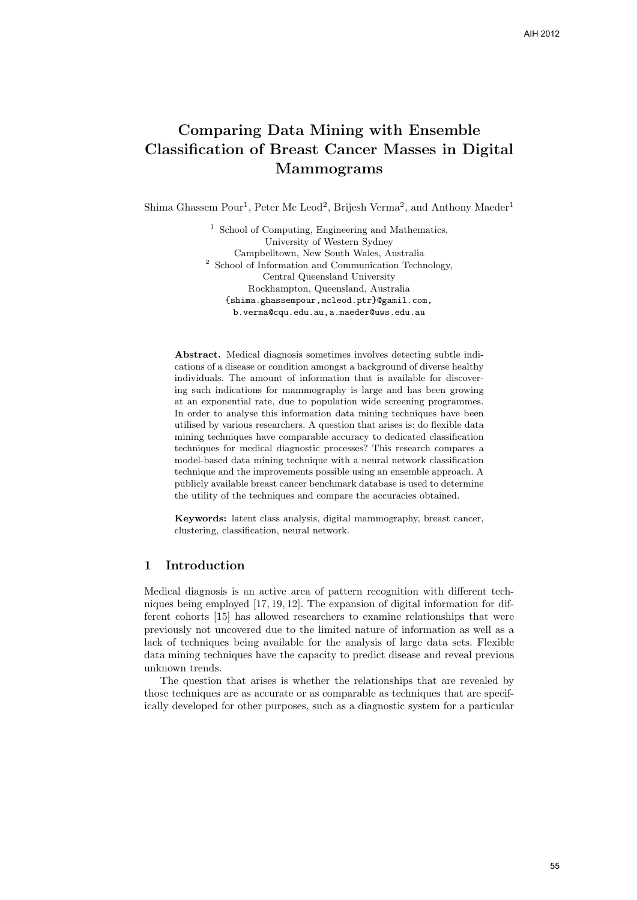# Comparing Data Mining with Ensemble Classification of Breast Cancer Masses in Digital Mammograms

Shima Ghassem Pour<sup>1</sup>, Peter Mc Leod<sup>2</sup>, Brijesh Verma<sup>2</sup>, and Anthony Maeder<sup>1</sup>

<sup>1</sup> School of Computing, Engineering and Mathematics, University of Western Sydney Campbelltown, New South Wales, Australia <sup>2</sup> School of Information and Communication Technology, Central Queensland University Rockhampton, Queensland, Australia {shima.ghassempour,mcleod.ptr}@gamil.com, b.verma@cqu.edu.au,a.maeder@uws.edu.au

Abstract. Medical diagnosis sometimes involves detecting subtle indications of a disease or condition amongst a background of diverse healthy individuals. The amount of information that is available for discovering such indications for mammography is large and has been growing at an exponential rate, due to population wide screening programmes. In order to analyse this information data mining techniques have been utilised by various researchers. A question that arises is: do flexible data mining techniques have comparable accuracy to dedicated classification techniques for medical diagnostic processes? This research compares a model-based data mining technique with a neural network classification technique and the improvements possible using an ensemble approach. A publicly available breast cancer benchmark database is used to determine the utility of the techniques and compare the accuracies obtained.

Keywords: latent class analysis, digital mammography, breast cancer, clustering, classification, neural network.

### 1 Introduction

Medical diagnosis is an active area of pattern recognition with different techniques being employed [17, 19, 12]. The expansion of digital information for different cohorts [15] has allowed researchers to examine relationships that were previously not uncovered due to the limited nature of information as well as a lack of techniques being available for the analysis of large data sets. Flexible data mining techniques have the capacity to predict disease and reveal previous unknown trends.

The question that arises is whether the relationships that are revealed by those techniques are as accurate or as comparable as techniques that are specifically developed for other purposes, such as a diagnostic system for a particular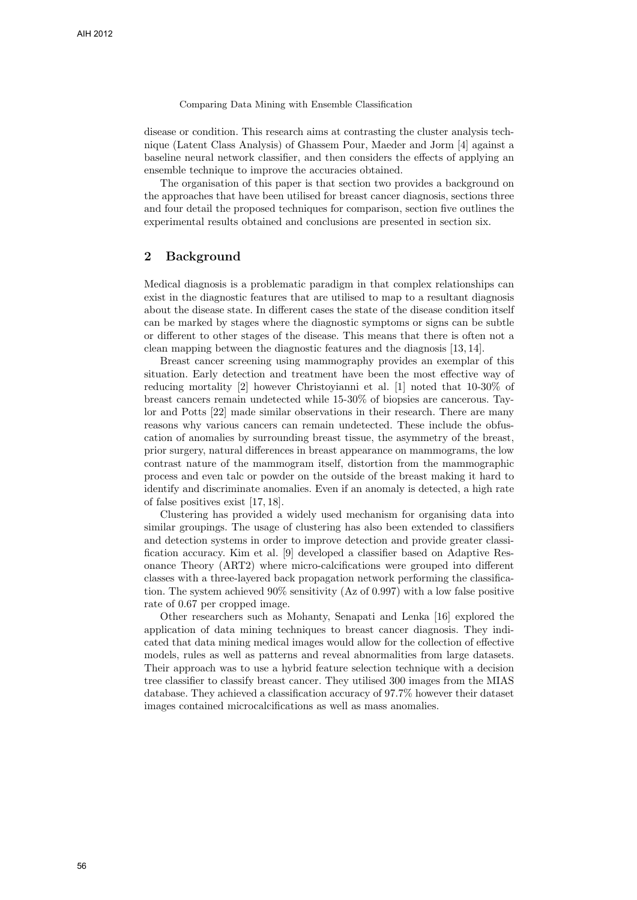disease or condition. This research aims at contrasting the cluster analysis technique (Latent Class Analysis) of Ghassem Pour, Maeder and Jorm [4] against a baseline neural network classifier, and then considers the effects of applying an ensemble technique to improve the accuracies obtained.

The organisation of this paper is that section two provides a background on the approaches that have been utilised for breast cancer diagnosis, sections three and four detail the proposed techniques for comparison, section five outlines the experimental results obtained and conclusions are presented in section six.

### 2 Background

Medical diagnosis is a problematic paradigm in that complex relationships can exist in the diagnostic features that are utilised to map to a resultant diagnosis about the disease state. In different cases the state of the disease condition itself can be marked by stages where the diagnostic symptoms or signs can be subtle or different to other stages of the disease. This means that there is often not a clean mapping between the diagnostic features and the diagnosis [13, 14].

Breast cancer screening using mammography provides an exemplar of this situation. Early detection and treatment have been the most effective way of reducing mortality [2] however Christoyianni et al. [1] noted that 10-30% of breast cancers remain undetected while 15-30% of biopsies are cancerous. Taylor and Potts [22] made similar observations in their research. There are many reasons why various cancers can remain undetected. These include the obfuscation of anomalies by surrounding breast tissue, the asymmetry of the breast, prior surgery, natural differences in breast appearance on mammograms, the low contrast nature of the mammogram itself, distortion from the mammographic process and even talc or powder on the outside of the breast making it hard to identify and discriminate anomalies. Even if an anomaly is detected, a high rate of false positives exist [17, 18].

Clustering has provided a widely used mechanism for organising data into similar groupings. The usage of clustering has also been extended to classifiers and detection systems in order to improve detection and provide greater classification accuracy. Kim et al. [9] developed a classifier based on Adaptive Resonance Theory (ART2) where micro-calcifications were grouped into different classes with a three-layered back propagation network performing the classification. The system achieved 90% sensitivity (Az of 0.997) with a low false positive rate of 0.67 per cropped image.

Other researchers such as Mohanty, Senapati and Lenka [16] explored the application of data mining techniques to breast cancer diagnosis. They indicated that data mining medical images would allow for the collection of effective models, rules as well as patterns and reveal abnormalities from large datasets. Their approach was to use a hybrid feature selection technique with a decision tree classifier to classify breast cancer. They utilised 300 images from the MIAS database. They achieved a classification accuracy of 97.7% however their dataset images contained microcalcifications as well as mass anomalies.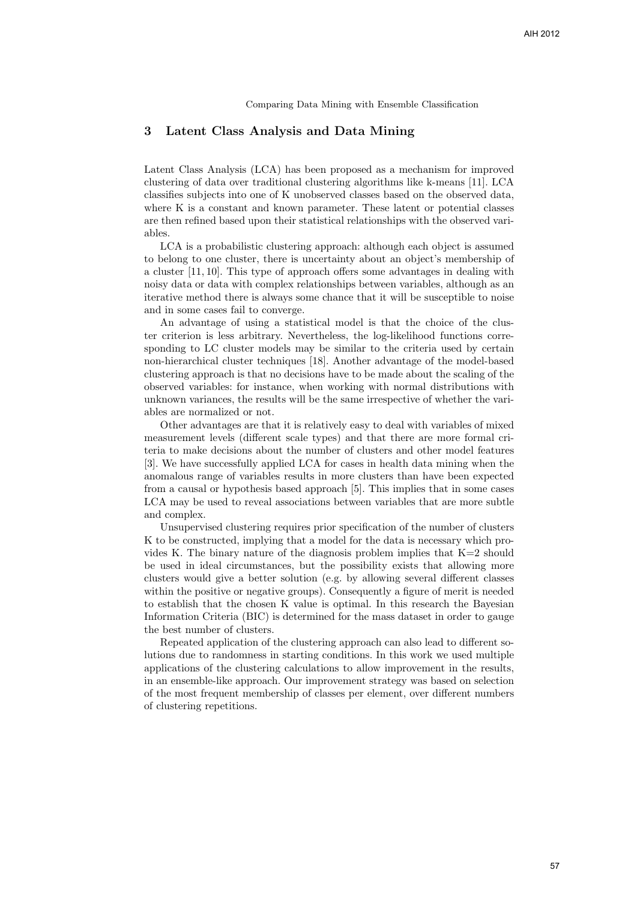### 3 Latent Class Analysis and Data Mining

Latent Class Analysis (LCA) has been proposed as a mechanism for improved clustering of data over traditional clustering algorithms like k-means [11]. LCA classifies subjects into one of K unobserved classes based on the observed data, where K is a constant and known parameter. These latent or potential classes are then refined based upon their statistical relationships with the observed variables.

LCA is a probabilistic clustering approach: although each object is assumed to belong to one cluster, there is uncertainty about an object's membership of a cluster [11, 10]. This type of approach offers some advantages in dealing with noisy data or data with complex relationships between variables, although as an iterative method there is always some chance that it will be susceptible to noise and in some cases fail to converge.

An advantage of using a statistical model is that the choice of the cluster criterion is less arbitrary. Nevertheless, the log-likelihood functions corresponding to LC cluster models may be similar to the criteria used by certain non-hierarchical cluster techniques [18]. Another advantage of the model-based clustering approach is that no decisions have to be made about the scaling of the observed variables: for instance, when working with normal distributions with unknown variances, the results will be the same irrespective of whether the variables are normalized or not.

Other advantages are that it is relatively easy to deal with variables of mixed measurement levels (different scale types) and that there are more formal criteria to make decisions about the number of clusters and other model features [3]. We have successfully applied LCA for cases in health data mining when the anomalous range of variables results in more clusters than have been expected from a causal or hypothesis based approach [5]. This implies that in some cases LCA may be used to reveal associations between variables that are more subtle and complex.

Unsupervised clustering requires prior specification of the number of clusters K to be constructed, implying that a model for the data is necessary which provides K. The binary nature of the diagnosis problem implies that K=2 should be used in ideal circumstances, but the possibility exists that allowing more clusters would give a better solution (e.g. by allowing several different classes within the positive or negative groups). Consequently a figure of merit is needed to establish that the chosen K value is optimal. In this research the Bayesian Information Criteria (BIC) is determined for the mass dataset in order to gauge the best number of clusters.

Repeated application of the clustering approach can also lead to different solutions due to randomness in starting conditions. In this work we used multiple applications of the clustering calculations to allow improvement in the results, in an ensemble-like approach. Our improvement strategy was based on selection of the most frequent membership of classes per element, over different numbers of clustering repetitions.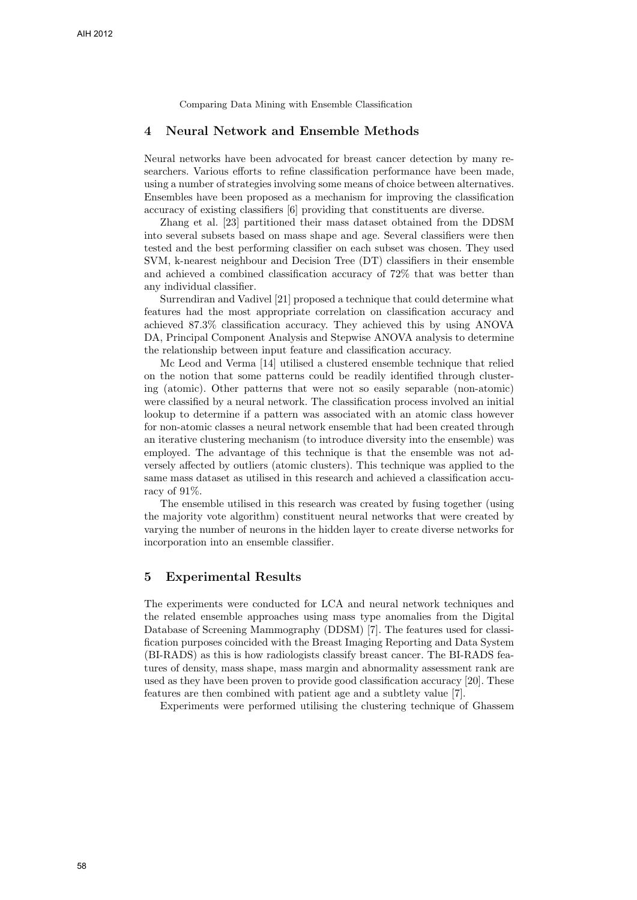### 4 Neural Network and Ensemble Methods

Neural networks have been advocated for breast cancer detection by many researchers. Various efforts to refine classification performance have been made, using a number of strategies involving some means of choice between alternatives. Ensembles have been proposed as a mechanism for improving the classification accuracy of existing classifiers [6] providing that constituents are diverse.

Zhang et al. [23] partitioned their mass dataset obtained from the DDSM into several subsets based on mass shape and age. Several classifiers were then tested and the best performing classifier on each subset was chosen. They used SVM, k-nearest neighbour and Decision Tree (DT) classifiers in their ensemble and achieved a combined classification accuracy of 72% that was better than any individual classifier.

Surrendiran and Vadivel [21] proposed a technique that could determine what features had the most appropriate correlation on classification accuracy and achieved 87.3% classification accuracy. They achieved this by using ANOVA DA, Principal Component Analysis and Stepwise ANOVA analysis to determine the relationship between input feature and classification accuracy.

Mc Leod and Verma [14] utilised a clustered ensemble technique that relied on the notion that some patterns could be readily identified through clustering (atomic). Other patterns that were not so easily separable (non-atomic) were classified by a neural network. The classification process involved an initial lookup to determine if a pattern was associated with an atomic class however for non-atomic classes a neural network ensemble that had been created through an iterative clustering mechanism (to introduce diversity into the ensemble) was employed. The advantage of this technique is that the ensemble was not adversely affected by outliers (atomic clusters). This technique was applied to the same mass dataset as utilised in this research and achieved a classification accuracy of 91%.

The ensemble utilised in this research was created by fusing together (using the majority vote algorithm) constituent neural networks that were created by varying the number of neurons in the hidden layer to create diverse networks for incorporation into an ensemble classifier.

### 5 Experimental Results

The experiments were conducted for LCA and neural network techniques and the related ensemble approaches using mass type anomalies from the Digital Database of Screening Mammography (DDSM) [7]. The features used for classification purposes coincided with the Breast Imaging Reporting and Data System (BI-RADS) as this is how radiologists classify breast cancer. The BI-RADS features of density, mass shape, mass margin and abnormality assessment rank are used as they have been proven to provide good classification accuracy [20]. These features are then combined with patient age and a subtlety value [7].

Experiments were performed utilising the clustering technique of Ghassem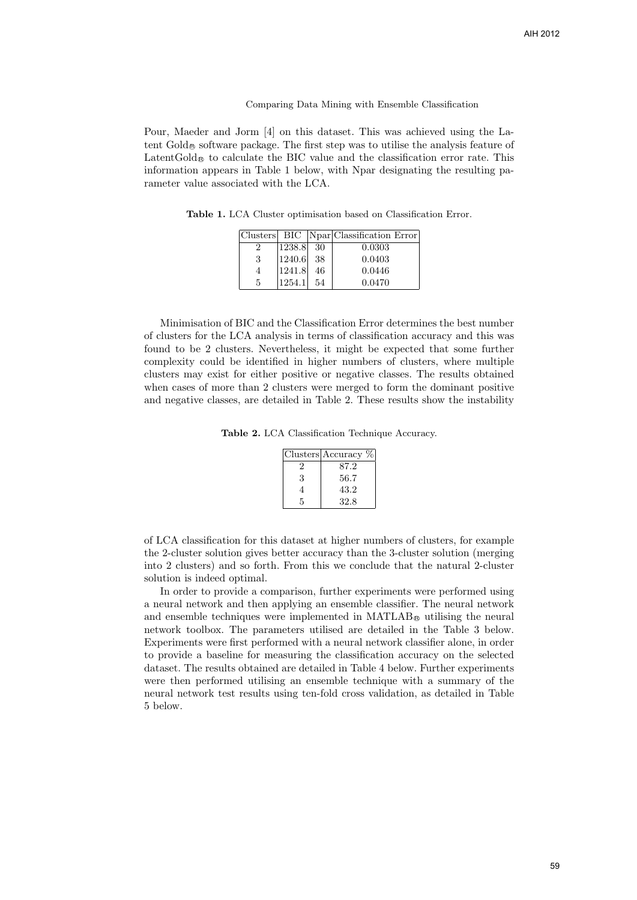Pour, Maeder and Jorm [4] on this dataset. This was achieved using the Latent Gold <sup>R</sup> software package. The first step was to utilise the analysis feature of Latent $G$ old $_{\mathfrak{G}}$  to calculate the BIC value and the classification error rate. This information appears in Table 1 below, with Npar designating the resulting parameter value associated with the LCA.

Table 1. LCA Cluster optimisation based on Classification Error.

|   |        |    | Clusters BIC Npar Classification Error |
|---|--------|----|----------------------------------------|
|   | 1238.8 | 30 | 0.0303                                 |
| 3 | 1240.6 | 38 | 0.0403                                 |
| 4 | 1241.8 | 46 | 0.0446                                 |
| 5 | 1254.1 | 54 | 0.0470                                 |

Minimisation of BIC and the Classification Error determines the best number of clusters for the LCA analysis in terms of classification accuracy and this was found to be 2 clusters. Nevertheless, it might be expected that some further complexity could be identified in higher numbers of clusters, where multiple clusters may exist for either positive or negative classes. The results obtained when cases of more than 2 clusters were merged to form the dominant positive and negative classes, are detailed in Table 2. These results show the instability

Table 2. LCA Classification Technique Accuracy.

|   | Clusters Accuracy $%$ |
|---|-----------------------|
| 2 | 87.2                  |
| 3 | 56.7                  |
|   | 43.2                  |
| 5 | 32.8                  |

of LCA classification for this dataset at higher numbers of clusters, for example the 2-cluster solution gives better accuracy than the 3-cluster solution (merging into 2 clusters) and so forth. From this we conclude that the natural 2-cluster solution is indeed optimal.

In order to provide a comparison, further experiments were performed using a neural network and then applying an ensemble classifier. The neural network and ensemble techniques were implemented in  $MATLAB_{\mathfrak{G}}$  utilising the neural network toolbox. The parameters utilised are detailed in the Table 3 below. Experiments were first performed with a neural network classifier alone, in order to provide a baseline for measuring the classification accuracy on the selected dataset. The results obtained are detailed in Table 4 below. Further experiments were then performed utilising an ensemble technique with a summary of the neural network test results using ten-fold cross validation, as detailed in Table 5 below.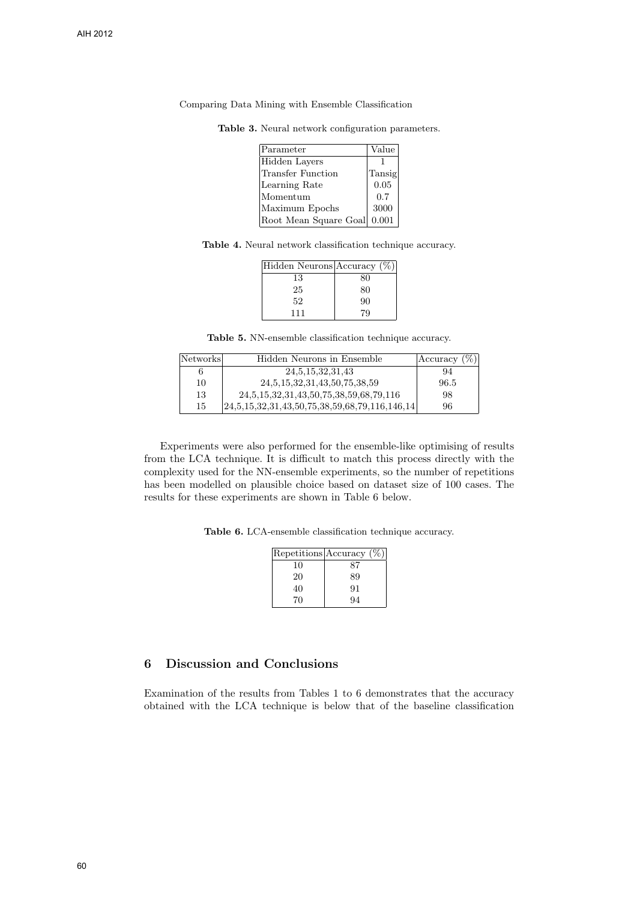| Parameter             | Value  |
|-----------------------|--------|
| Hidden Lavers         |        |
| Transfer Function     | Tansig |
| Learning Rate         | 0.05   |
| Momentum              | 0.7    |
| Maximum Epochs        | 3000   |
| Root Mean Square Goal | 0.001  |

Table 3. Neural network configuration parameters.

Table 4. Neural network classification technique accuracy.

| Hidden Neurons Accuracy (%) |    |
|-----------------------------|----|
| 13                          | 80 |
| 25                          | 80 |
| 52                          | 90 |
| 111                         | 79 |

Table 5. NN-ensemble classification technique accuracy.

| Networks | Hidden Neurons in Ensemble                         | Accuracy $(\%)$ |
|----------|----------------------------------------------------|-----------------|
|          | 24, 5, 15, 32, 31, 43                              | 94              |
| 10       | 24, 5, 15, 32, 31, 43, 50, 75, 38, 59              | 96.5            |
| 13       | 24, 5, 15, 32, 31, 43, 50, 75, 38, 59, 68, 79, 116 | 98              |
| 15       | $ 24,5,15,32,31,43,50,75,38,59,68,79,116,146,14 $  | 96              |

Experiments were also performed for the ensemble-like optimising of results from the LCA technique. It is difficult to match this process directly with the complexity used for the NN-ensemble experiments, so the number of repetitions has been modelled on plausible choice based on dataset size of 100 cases. The results for these experiments are shown in Table 6 below.

Table 6. LCA-ensemble classification technique accuracy.

|    | $[Repetitions]$ Accuracy $(\%)$ |
|----|---------------------------------|
| 10 | 87                              |
| 20 | 89                              |
| 40 | 91                              |
| 70 | 94                              |

## 6 Discussion and Conclusions

Examination of the results from Tables 1 to 6 demonstrates that the accuracy obtained with the LCA technique is below that of the baseline classification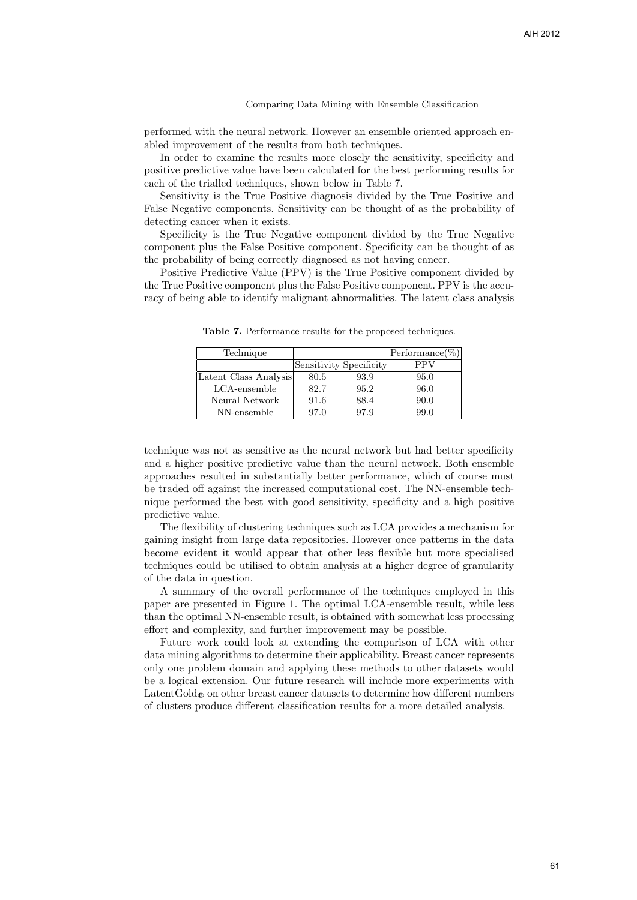performed with the neural network. However an ensemble oriented approach enabled improvement of the results from both techniques.

In order to examine the results more closely the sensitivity, specificity and positive predictive value have been calculated for the best performing results for each of the trialled techniques, shown below in Table 7.

Sensitivity is the True Positive diagnosis divided by the True Positive and False Negative components. Sensitivity can be thought of as the probability of detecting cancer when it exists.

Specificity is the True Negative component divided by the True Negative component plus the False Positive component. Specificity can be thought of as the probability of being correctly diagnosed as not having cancer.

Positive Predictive Value (PPV) is the True Positive component divided by the True Positive component plus the False Positive component. PPV is the accuracy of being able to identify malignant abnormalities. The latent class analysis

| Technique             |                         |      | $\mathrm{Performance}(\%)$ |
|-----------------------|-------------------------|------|----------------------------|
|                       | Sensitivity Specificity |      | PPV                        |
| Latent Class Analysis | 80.5                    | 93.9 | 95.0                       |
| LCA-ensemble          | 82.7                    | 95.2 | 96.0                       |
| Neural Network        | 91.6                    | 88.4 | 90.0                       |
| NN-ensemble           | 97.0                    | 97.9 | 99.0                       |

Table 7. Performance results for the proposed techniques.

technique was not as sensitive as the neural network but had better specificity and a higher positive predictive value than the neural network. Both ensemble approaches resulted in substantially better performance, which of course must be traded off against the increased computational cost. The NN-ensemble technique performed the best with good sensitivity, specificity and a high positive predictive value.

The flexibility of clustering techniques such as LCA provides a mechanism for gaining insight from large data repositories. However once patterns in the data become evident it would appear that other less flexible but more specialised techniques could be utilised to obtain analysis at a higher degree of granularity of the data in question.

A summary of the overall performance of the techniques employed in this paper are presented in Figure 1. The optimal LCA-ensemble result, while less than the optimal NN-ensemble result, is obtained with somewhat less processing effort and complexity, and further improvement may be possible.

Future work could look at extending the comparison of LCA with other data mining algorithms to determine their applicability. Breast cancer represents only one problem domain and applying these methods to other datasets would be a logical extension. Our future research will include more experiments with  $LatentGold_{\otimes}$  on other breast cancer datasets to determine how different numbers of clusters produce different classification results for a more detailed analysis.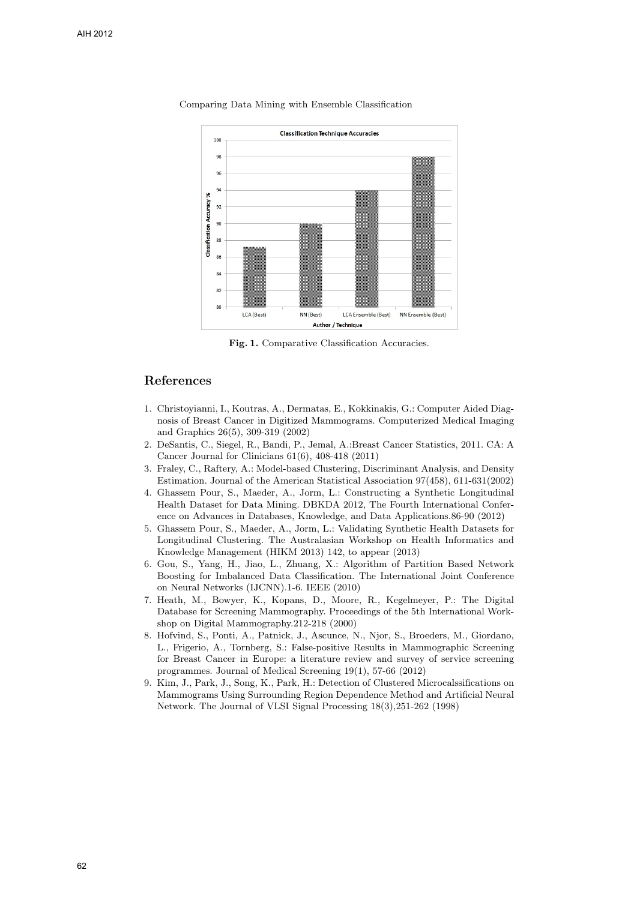

Fig. 1. Comparative Classification Accuracies.

### References

- 1. Christoyianni, I., Koutras, A., Dermatas, E., Kokkinakis, G.: Computer Aided Diagnosis of Breast Cancer in Digitized Mammograms. Computerized Medical Imaging and Graphics 26(5), 309-319 (2002)
- 2. DeSantis, C., Siegel, R., Bandi, P., Jemal, A.:Breast Cancer Statistics, 2011. CA: A Cancer Journal for Clinicians 61(6), 408-418 (2011)
- 3. Fraley, C., Raftery, A.: Model-based Clustering, Discriminant Analysis, and Density Estimation. Journal of the American Statistical Association 97(458), 611-631(2002)
- 4. Ghassem Pour, S., Maeder, A., Jorm, L.: Constructing a Synthetic Longitudinal Health Dataset for Data Mining. DBKDA 2012, The Fourth International Conference on Advances in Databases, Knowledge, and Data Applications.86-90 (2012)
- 5. Ghassem Pour, S., Maeder, A., Jorm, L.: Validating Synthetic Health Datasets for Longitudinal Clustering. The Australasian Workshop on Health Informatics and Knowledge Management (HIKM 2013) 142, to appear (2013)
- 6. Gou, S., Yang, H., Jiao, L., Zhuang, X.: Algorithm of Partition Based Network Boosting for Imbalanced Data Classification. The International Joint Conference on Neural Networks (IJCNN).1-6. IEEE (2010)
- 7. Heath, M., Bowyer, K., Kopans, D., Moore, R., Kegelmeyer, P.: The Digital Database for Screening Mammography. Proceedings of the 5th International Workshop on Digital Mammography.212-218 (2000)
- 8. Hofvind, S., Ponti, A., Patnick, J., Ascunce, N., Njor, S., Broeders, M., Giordano, L., Frigerio, A., Tornberg, S.: False-positive Results in Mammographic Screening for Breast Cancer in Europe: a literature review and survey of service screening programmes. Journal of Medical Screening 19(1), 57-66 (2012)
- 9. Kim, J., Park, J., Song, K., Park, H.: Detection of Clustered Microcalssifications on Mammograms Using Surrounding Region Dependence Method and Artificial Neural Network. The Journal of VLSI Signal Processing 18(3),251-262 (1998)